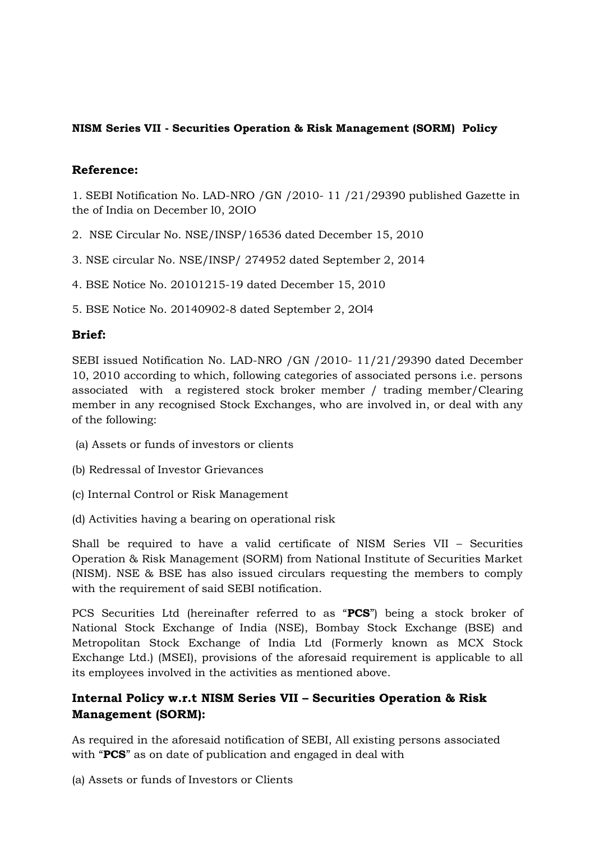#### **NISM Series VII - Securities Operation & Risk Management (SORM) Policy**

### **Reference:**

1. SEBI Notification No. LAD-NRO /GN /2010- 11 /21/29390 published Gazette in the of India on December l0, 2OIO

- 2. NSE Circular No. NSE/INSP/16536 dated December 15, 2010
- 3. NSE circular No. NSE/INSP/ 274952 dated September 2, 2014
- 4. BSE Notice No. 20101215-19 dated December 15, 2010
- 5. BSE Notice No. 20140902-8 dated September 2, 2Ol4

# **Brief:**

SEBI issued Notification No. LAD-NRO /GN /2010- 11/21/29390 dated December 10, 2010 according to which, following categories of associated persons i.e. persons associated with a registered stock broker member / trading member/Clearing member in any recognised Stock Exchanges, who are involved in, or deal with any of the following:

- (a) Assets or funds of investors or clients
- (b) Redressal of Investor Grievances
- (c) Internal Control or Risk Management
- (d) Activities having a bearing on operational risk

Shall be required to have a valid certificate of NISM Series VII – Securities Operation & Risk Management (SORM) from National Institute of Securities Market (NISM). NSE & BSE has also issued circulars requesting the members to comply with the requirement of said SEBI notification.

PCS Securities Ltd (hereinafter referred to as "**PCS**") being a stock broker of National Stock Exchange of India (NSE), Bombay Stock Exchange (BSE) and Metropolitan Stock Exchange of India Ltd (Formerly known as MCX Stock Exchange Ltd.) (MSEI), provisions of the aforesaid requirement is applicable to all its employees involved in the activities as mentioned above.

# **Internal Policy w.r.t NISM Series VII – Securities Operation & Risk Management (SORM):**

As required in the aforesaid notification of SEBI, All existing persons associated with "**PCS**" as on date of publication and engaged in deal with

(a) Assets or funds of Investors or Clients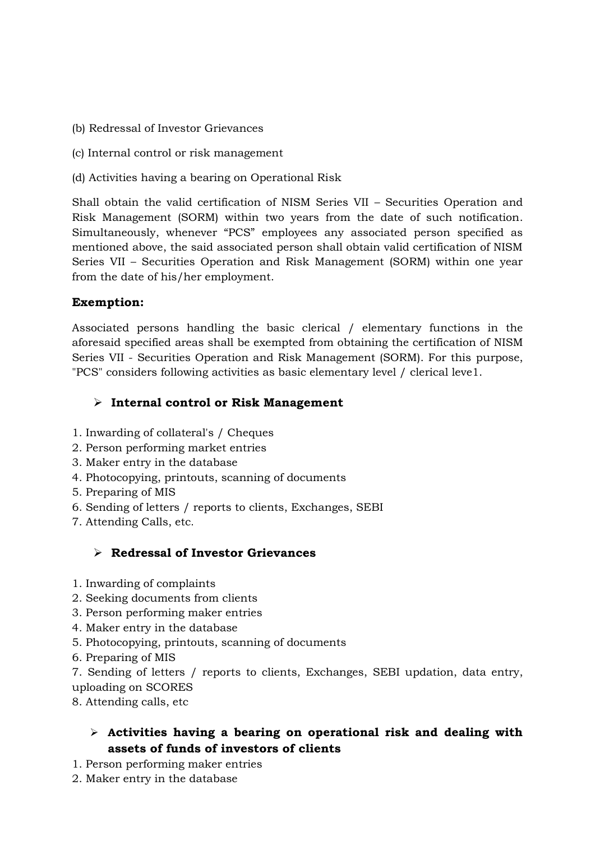- (b) Redressal of Investor Grievances
- (c) Internal control or risk management
- (d) Activities having a bearing on Operational Risk

Shall obtain the valid certification of NISM Series VII – Securities Operation and Risk Management (SORM) within two years from the date of such notification. Simultaneously, whenever "PCS" employees any associated person specified as mentioned above, the said associated person shall obtain valid certification of NISM Series VII – Securities Operation and Risk Management (SORM) within one year from the date of his/her employment.

#### **Exemption:**

Associated persons handling the basic clerical / elementary functions in the aforesaid specified areas shall be exempted from obtaining the certification of NISM Series VII - Securities Operation and Risk Management (SORM). For this purpose, "PCS" considers following activities as basic elementary level / clerical leve1.

### **Internal control or Risk Management**

- 1. Inwarding of collateral's / Cheques
- 2. Person performing market entries
- 3. Maker entry in the database
- 4. Photocopying, printouts, scanning of documents
- 5. Preparing of MIS
- 6. Sending of letters / reports to clients, Exchanges, SEBI
- 7. Attending Calls, etc.

# **Redressal of Investor Grievances**

- 1. Inwarding of complaints
- 2. Seeking documents from clients
- 3. Person performing maker entries
- 4. Maker entry in the database
- 5. Photocopying, printouts, scanning of documents
- 6. Preparing of MIS

7. Sending of letters / reports to clients, Exchanges, SEBI updation, data entry, uploading on SCORES

8. Attending calls, etc

# **Activities having a bearing on operational risk and dealing with assets of funds of investors of clients**

- 1. Person performing maker entries
- 2. Maker entry in the database